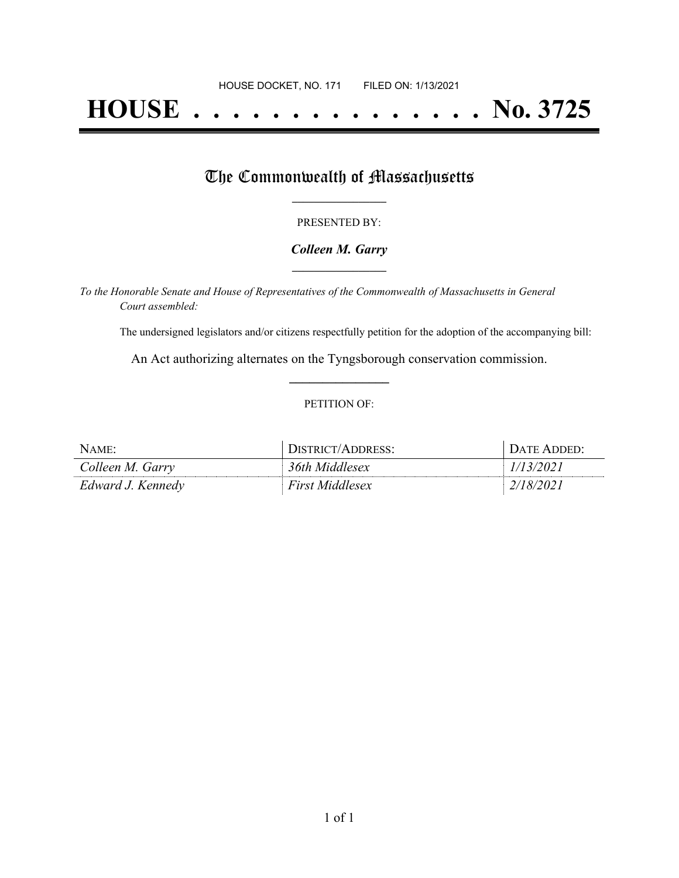# **HOUSE . . . . . . . . . . . . . . . No. 3725**

## The Commonwealth of Massachusetts

#### PRESENTED BY:

#### *Colleen M. Garry* **\_\_\_\_\_\_\_\_\_\_\_\_\_\_\_\_\_**

*To the Honorable Senate and House of Representatives of the Commonwealth of Massachusetts in General Court assembled:*

The undersigned legislators and/or citizens respectfully petition for the adoption of the accompanying bill:

An Act authorizing alternates on the Tyngsborough conservation commission. **\_\_\_\_\_\_\_\_\_\_\_\_\_\_\_**

#### PETITION OF:

| NAME:             | DISTRICT/ADDRESS:      | DATE ADDED: |
|-------------------|------------------------|-------------|
| Colleen M. Garry  | 36th Middlesex         | 1/13/2021   |
| Edward J. Kennedy | <b>First Middlesex</b> | 2/18/2021   |